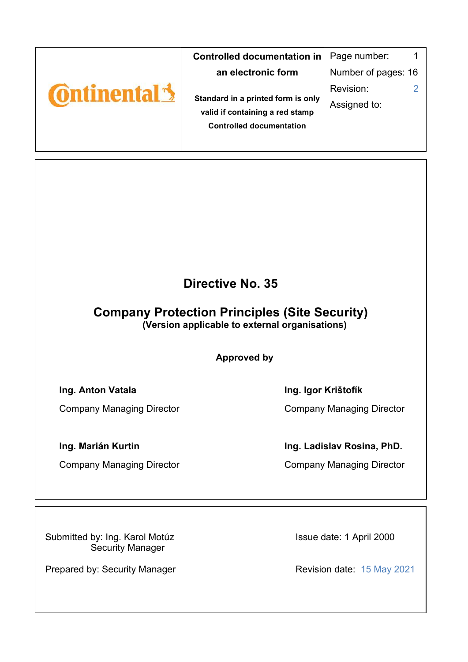|                   | Controlled documentation in                                           | Page number:        |
|-------------------|-----------------------------------------------------------------------|---------------------|
|                   | an electronic form                                                    | Number of pages: 16 |
| <b>Ontinental</b> |                                                                       | Revision:           |
|                   | Standard in a printed form is only<br>valid if containing a red stamp | Assigned to:        |
|                   | <b>Controlled documentation</b>                                       |                     |
|                   |                                                                       |                     |

## **Directive No. 35**

# **Company Protection Principles (Site Security)**

**(Version applicable to external organisations)** 

**Approved by** 

### **Ing. Anton Vatala Ing. Igor Krištofík**

Company Managing Director Company Managing Director

### **Ing. Marián Kurtin Ing. Ladislav Rosina, PhD.**

Company Managing Director Company Managing Director

Submitted by: Ing. Karol Motúz Security Manager

Prepared by: Security Manager Revision date: 15 May 2021

Issue date: 1 April 2000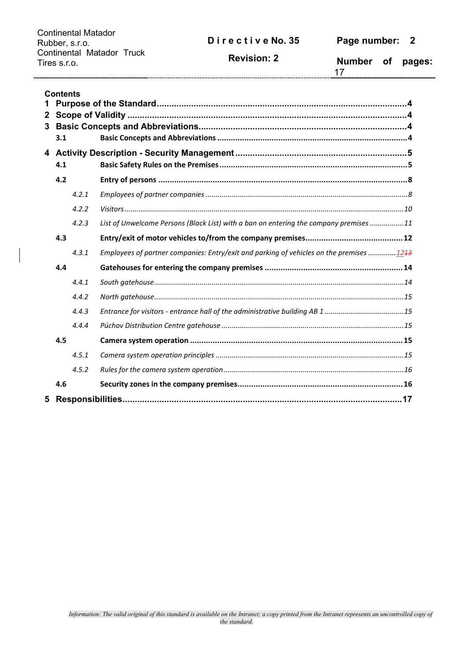Continental Matador Rubber, s.r.o. Continental Matador Truck Tires s.r.o.

**Revision: 2**

**Number of pages:** 

|                   | <b>Contents</b> |       |                                                                                         |  |  |  |  |
|-------------------|-----------------|-------|-----------------------------------------------------------------------------------------|--|--|--|--|
| 1<br>$\mathbf{2}$ |                 |       |                                                                                         |  |  |  |  |
| 3                 |                 |       |                                                                                         |  |  |  |  |
|                   | 3.1             |       |                                                                                         |  |  |  |  |
|                   | 4.1             |       |                                                                                         |  |  |  |  |
|                   | 4.2             |       |                                                                                         |  |  |  |  |
|                   |                 | 4.2.1 |                                                                                         |  |  |  |  |
|                   |                 | 4.2.2 |                                                                                         |  |  |  |  |
|                   |                 | 4.2.3 | List of Unwelcome Persons (Black List) with a ban on entering the company premises 11   |  |  |  |  |
|                   | 4.3             |       |                                                                                         |  |  |  |  |
|                   |                 | 4.3.1 | Employees of partner companies: Entry/exit and parking of vehicles on the premises 1243 |  |  |  |  |
|                   | 4.4             |       |                                                                                         |  |  |  |  |
|                   |                 | 4.4.1 |                                                                                         |  |  |  |  |
|                   |                 | 4.4.2 |                                                                                         |  |  |  |  |
|                   |                 | 4.4.3 |                                                                                         |  |  |  |  |
|                   |                 | 4.4.4 |                                                                                         |  |  |  |  |
|                   | 4.5             |       |                                                                                         |  |  |  |  |
|                   |                 | 4.5.1 |                                                                                         |  |  |  |  |
|                   |                 | 4.5.2 |                                                                                         |  |  |  |  |
|                   | 4.6             |       |                                                                                         |  |  |  |  |
| 5                 |                 |       |                                                                                         |  |  |  |  |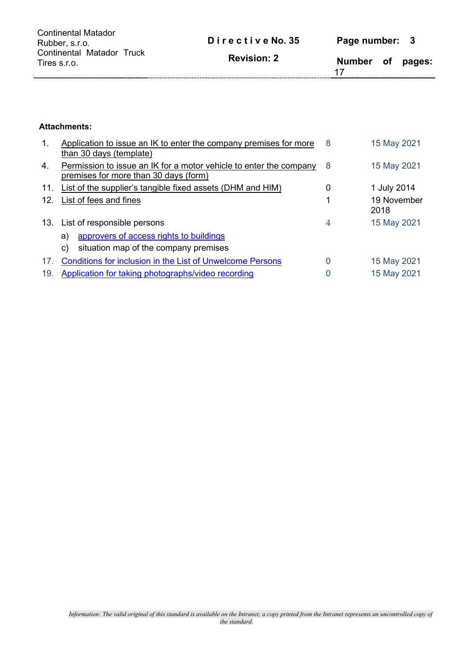| Continental Matador<br>Rubber, s.r.o.     | Directive No. 35   | Page number: 3 |        |
|-------------------------------------------|--------------------|----------------|--------|
| Continental Matador Truck<br>Tires s.r.o. | <b>Revision: 2</b> | Number of      | pages: |

#### **Attachments:**

| $\mathbf{1}$ . | Application to issue an IK to enter the company premises for more<br>than 30 days (template)                | 8 | 15 May 2021         |
|----------------|-------------------------------------------------------------------------------------------------------------|---|---------------------|
| 4.             | Permission to issue an IK for a motor vehicle to enter the company<br>premises for more than 30 days (form) | 8 | 15 May 2021         |
| 11.            | List of the supplier's tangible fixed assets (DHM and HIM)                                                  | 0 | 1 July 2014         |
| 12.            | List of fees and fines                                                                                      | 1 | 19 November<br>2018 |
|                | 13. List of responsible persons                                                                             | 4 | 15 May 2021         |
|                | approvers of access rights to buildings<br>a)                                                               |   |                     |
|                | situation map of the company premises<br>C)                                                                 |   |                     |
| 17.            | <b>Conditions for inclusion in the List of Unwelcome Persons</b>                                            | 0 | 15 May 2021         |
| 19.            | Application for taking photographs/video recording                                                          | 0 | 15 May 2021         |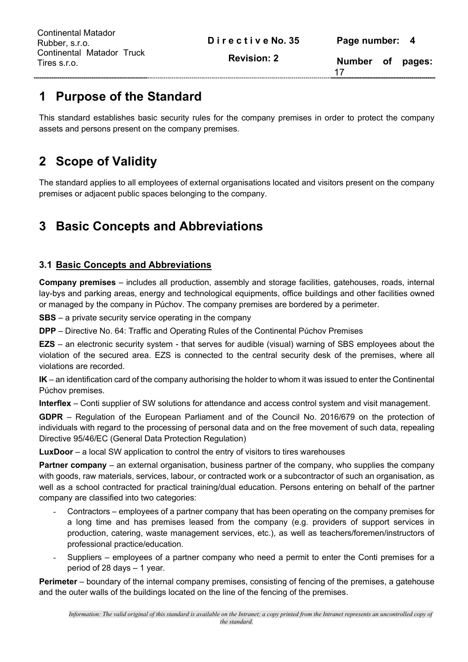| Continental Matador Truck<br><b>Revision: 2</b><br>Tires s.r.o. |               | Page number: 4 |        |
|-----------------------------------------------------------------|---------------|----------------|--------|
|                                                                 | <b>Number</b> | <b>of</b>      | pages: |

## **1 Purpose of the Standard**

This standard establishes basic security rules for the company premises in order to protect the company assets and persons present on the company premises.

## **2 Scope of Validity**

The standard applies to all employees of external organisations located and visitors present on the company premises or adjacent public spaces belonging to the company.

## **3 Basic Concepts and Abbreviations**

### **3.1 Basic Concepts and Abbreviations**

**Company premises** – includes all production, assembly and storage facilities, gatehouses, roads, internal lay-bys and parking areas, energy and technological equipments, office buildings and other facilities owned or managed by the company in Púchov. The company premises are bordered by a perimeter.

**SBS** – a private security service operating in the company

**DPP** – Directive No. 64: Traffic and Operating Rules of the Continental Púchov Premises

**EZS** – an electronic security system - that serves for audible (visual) warning of SBS employees about the violation of the secured area. EZS is connected to the central security desk of the premises, where all violations are recorded.

**IK** – an identification card of the company authorising the holder to whom it was issued to enter the Continental Púchov premises.

**Interflex** – Conti supplier of SW solutions for attendance and access control system and visit management.

**GDPR** – Regulation of the European Parliament and of the Council No. 2016/679 on the protection of individuals with regard to the processing of personal data and on the free movement of such data, repealing Directive 95/46/EC (General Data Protection Regulation)

**LuxDoor** – a local SW application to control the entry of visitors to tires warehouses

**Partner company** – an external organisation, business partner of the company, who supplies the company with goods, raw materials, services, labour, or contracted work or a subcontractor of such an organisation, as well as a school contracted for practical training/dual education. Persons entering on behalf of the partner company are classified into two categories:

- Contractors employees of a partner company that has been operating on the company premises for a long time and has premises leased from the company (e.g. providers of support services in production, catering, waste management services, etc.), as well as teachers/foremen/instructors of professional practice/education.
- Suppliers employees of a partner company who need a permit to enter the Conti premises for a period of 28 days – 1 year.

**Perimeter** – boundary of the internal company premises, consisting of fencing of the premises, a gatehouse and the outer walls of the buildings located on the line of the fencing of the premises.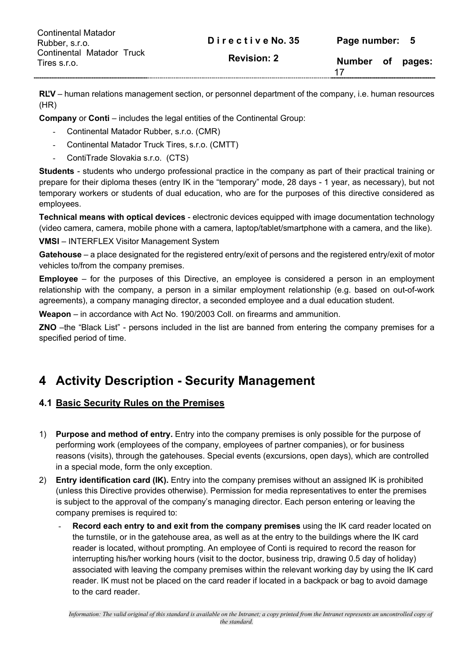| <b>Continental Matador</b><br>Rubber, s.r.o. | Directive No. 35   | Page number: 5  |        |
|----------------------------------------------|--------------------|-----------------|--------|
| Continental Matador Truck<br>Tires s.r.o.    | <b>Revision: 2</b> | Number of<br>17 | pages: |

**RĽV** – human relations management section, or personnel department of the company, i.e. human resources (HR)

**Company** or **Conti** – includes the legal entities of the Continental Group:

- Continental Matador Rubber, s.r.o. (CMR)
- Continental Matador Truck Tires, s.r.o. (CMTT)
- ContiTrade Slovakia s.r.o. (CTS)

**Students** - students who undergo professional practice in the company as part of their practical training or prepare for their diploma theses (entry IK in the "temporary" mode, 28 days - 1 year, as necessary), but not temporary workers or students of dual education, who are for the purposes of this directive considered as employees.

**Technical means with optical devices** - electronic devices equipped with image documentation technology (video camera, camera, mobile phone with a camera, laptop/tablet/smartphone with a camera, and the like).

**VMSI** – INTERFLEX Visitor Management System

**Gatehouse** – a place designated for the registered entry/exit of persons and the registered entry/exit of motor vehicles to/from the company premises.

**Employee** – for the purposes of this Directive, an employee is considered a person in an employment relationship with the company, a person in a similar employment relationship (e.g. based on out-of-work agreements), a company managing director, a seconded employee and a dual education student.

**Weapon** – in accordance with Act No. 190/2003 Coll. on firearms and ammunition.

**ZNO** –the "Black List" - persons included in the list are banned from entering the company premises for a specified period of time.

## **4 Activity Description - Security Management**

### **4.1 Basic Security Rules on the Premises**

- 1) **Purpose and method of entry.** Entry into the company premises is only possible for the purpose of performing work (employees of the company, employees of partner companies), or for business reasons (visits), through the gatehouses. Special events (excursions, open days), which are controlled in a special mode, form the only exception.
- 2) **Entry identification card (IK).** Entry into the company premises without an assigned IK is prohibited (unless this Directive provides otherwise). Permission for media representatives to enter the premises is subject to the approval of the company's managing director. Each person entering or leaving the company premises is required to:
	- **Record each entry to and exit from the company premises** using the IK card reader located on the turnstile, or in the gatehouse area, as well as at the entry to the buildings where the IK card reader is located, without prompting. An employee of Conti is required to record the reason for interrupting his/her working hours (visit to the doctor, business trip, drawing 0.5 day of holiday) associated with leaving the company premises within the relevant working day by using the IK card reader. IK must not be placed on the card reader if located in a backpack or bag to avoid damage to the card reader.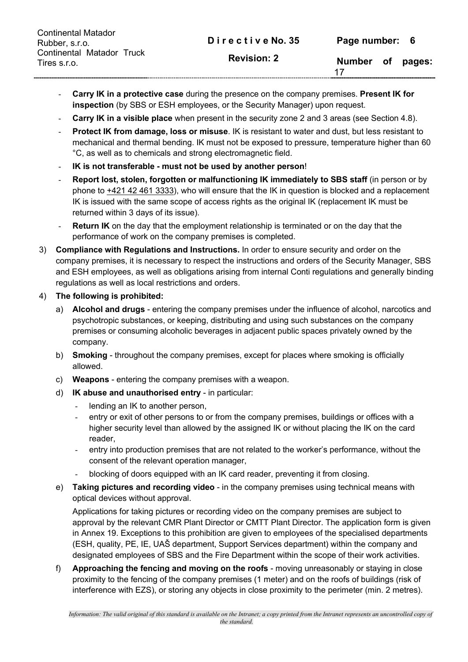| <b>Continental Matador</b><br>Rubber, s.r.o. | Directive No. 35   | Page number: 6 |        |
|----------------------------------------------|--------------------|----------------|--------|
| Continental Matador Truck<br>Tires s.r.o.    | <b>Revision: 2</b> | Number of      | pages: |

- **Carry IK in a protective case** during the presence on the company premises. **Present IK for inspection** (by SBS or ESH employees, or the Security Manager) upon request.
- **Carry IK in a visible place** when present in the security zone 2 and 3 areas (see Section 4.8).
- **Protect IK from damage, loss or misuse**. IK is resistant to water and dust, but less resistant to mechanical and thermal bending. IK must not be exposed to pressure, temperature higher than 60 °C, as well as to chemicals and strong electromagnetic field.
- **IK is not transferable must not be used by another person**!
- **Report lost, stolen, forgotten or malfunctioning IK immediately to SBS staff** (in person or by phone to +421 42 461 3333), who will ensure that the IK in question is blocked and a replacement IK is issued with the same scope of access rights as the original IK (replacement IK must be returned within 3 days of its issue).
- **Return IK** on the day that the employment relationship is terminated or on the day that the performance of work on the company premises is completed.
- 3) **Compliance with Regulations and Instructions.** In order to ensure security and order on the company premises, it is necessary to respect the instructions and orders of the Security Manager, SBS and ESH employees, as well as obligations arising from internal Conti regulations and generally binding regulations as well as local restrictions and orders.
- 4) **The following is prohibited:** 
	- a) **Alcohol and drugs** entering the company premises under the influence of alcohol, narcotics and psychotropic substances, or keeping, distributing and using such substances on the company premises or consuming alcoholic beverages in adjacent public spaces privately owned by the company.
	- b) **Smoking** throughout the company premises, except for places where smoking is officially allowed.
	- c) **Weapons** entering the company premises with a weapon.
	- d) **IK abuse and unauthorised entry**  in particular:
		- lending an IK to another person,
		- entry or exit of other persons to or from the company premises, buildings or offices with a higher security level than allowed by the assigned IK or without placing the IK on the card reader,
		- entry into production premises that are not related to the worker's performance, without the consent of the relevant operation manager,
		- blocking of doors equipped with an IK card reader, preventing it from closing.
	- e) **Taking pictures and recording video**  in the company premises using technical means with optical devices without approval.

Applications for taking pictures or recording video on the company premises are subject to approval by the relevant CMR Plant Director or CMTT Plant Director. The application form is given in Annex 19. Exceptions to this prohibition are given to employees of the specialised departments (ESH, quality, PE, IE, UAŠ department, Support Services department) within the company and designated employees of SBS and the Fire Department within the scope of their work activities.

f) **Approaching the fencing and moving on the roofs** - moving unreasonably or staying in close proximity to the fencing of the company premises (1 meter) and on the roofs of buildings (risk of interference with EZS), or storing any objects in close proximity to the perimeter (min. 2 metres).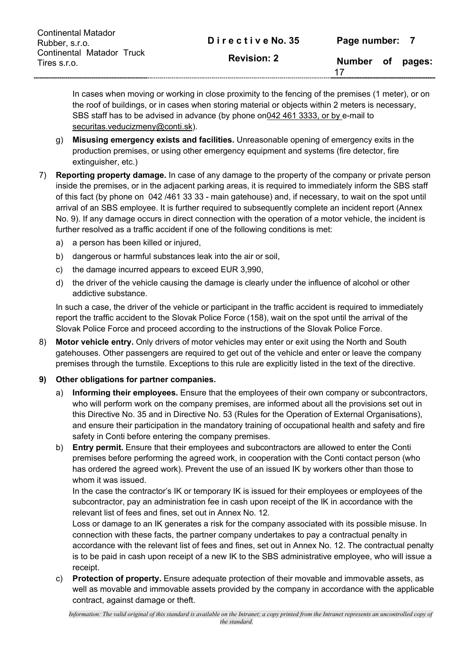| <b>Continental Matador</b><br>Rubber, s.r.o. | Directive No. 35   | Page number: 7 |        |
|----------------------------------------------|--------------------|----------------|--------|
| Continental Matador Truck<br>Tires s.r.o.    | <b>Revision: 2</b> | Number of      | pages: |

In cases when moving or working in close proximity to the fencing of the premises (1 meter), or on the roof of buildings, or in cases when storing material or objects within 2 meters is necessary, SBS staff has to be advised in advance (by phone on042 461 3333, or by e-mail to securitas.veducizmeny@conti.sk).

- g) **Misusing emergency exists and facilities.** Unreasonable opening of emergency exits in the production premises, or using other emergency equipment and systems (fire detector, fire extinguisher, etc.)
- 7) **Reporting property damage.** In case of any damage to the property of the company or private person inside the premises, or in the adjacent parking areas, it is required to immediately inform the SBS staff of this fact (by phone on 042 /461 33 33 - main gatehouse) and, if necessary, to wait on the spot until arrival of an SBS employee. It is further required to subsequently complete an incident report (Annex No. 9). If any damage occurs in direct connection with the operation of a motor vehicle, the incident is further resolved as a traffic accident if one of the following conditions is met:
	- a) a person has been killed or injured,
	- b) dangerous or harmful substances leak into the air or soil,
	- c) the damage incurred appears to exceed EUR 3,990,
	- d) the driver of the vehicle causing the damage is clearly under the influence of alcohol or other addictive substance.

In such a case, the driver of the vehicle or participant in the traffic accident is required to immediately report the traffic accident to the Slovak Police Force (158), wait on the spot until the arrival of the Slovak Police Force and proceed according to the instructions of the Slovak Police Force.

8) **Motor vehicle entry.** Only drivers of motor vehicles may enter or exit using the North and South gatehouses. Other passengers are required to get out of the vehicle and enter or leave the company premises through the turnstile. Exceptions to this rule are explicitly listed in the text of the directive.

#### **9) Other obligations for partner companies.**

- a) **Informing their employees.** Ensure that the employees of their own company or subcontractors, who will perform work on the company premises, are informed about all the provisions set out in this Directive No. 35 and in Directive No. 53 (Rules for the Operation of External Organisations), and ensure their participation in the mandatory training of occupational health and safety and fire safety in Conti before entering the company premises.
- b) **Entry permit.** Ensure that their employees and subcontractors are allowed to enter the Conti premises before performing the agreed work, in cooperation with the Conti contact person (who has ordered the agreed work). Prevent the use of an issued IK by workers other than those to whom it was issued.

In the case the contractor's IK or temporary IK is issued for their employees or employees of the subcontractor, pay an administration fee in cash upon receipt of the IK in accordance with the relevant list of fees and fines, set out in Annex No. 12.

Loss or damage to an IK generates a risk for the company associated with its possible misuse. In connection with these facts, the partner company undertakes to pay a contractual penalty in accordance with the relevant list of fees and fines, set out in Annex No. 12. The contractual penalty is to be paid in cash upon receipt of a new IK to the SBS administrative employee, who will issue a receipt.

c) **Protection of property.** Ensure adequate protection of their movable and immovable assets, as well as movable and immovable assets provided by the company in accordance with the applicable contract, against damage or theft.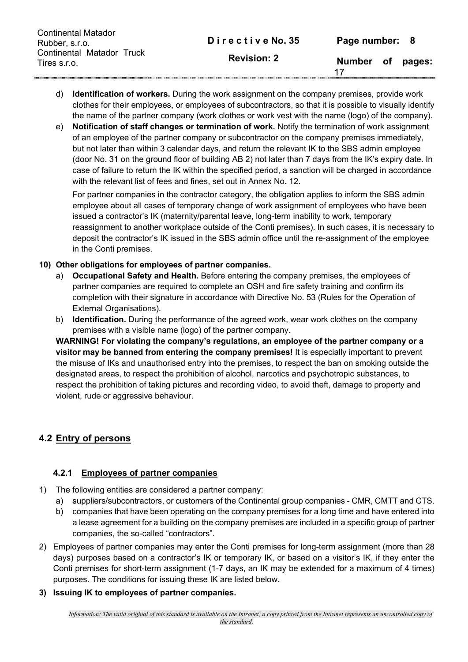| <b>Continental Matador</b><br>Rubber, s.r.o. | Directive No. 35   | Page number: 8 |        |
|----------------------------------------------|--------------------|----------------|--------|
| Continental Matador Truck<br>Tires s.r.o.    | <b>Revision: 2</b> | Number of      | pages: |

- d) **Identification of workers.** During the work assignment on the company premises, provide work clothes for their employees, or employees of subcontractors, so that it is possible to visually identify the name of the partner company (work clothes or work vest with the name (logo) of the company).
- e) **Notification of staff changes or termination of work.** Notify the termination of work assignment of an employee of the partner company or subcontractor on the company premises immediately, but not later than within 3 calendar days, and return the relevant IK to the SBS admin employee (door No. 31 on the ground floor of building AB 2) not later than 7 days from the IK's expiry date. In case of failure to return the IK within the specified period, a sanction will be charged in accordance with the relevant list of fees and fines, set out in Annex No. 12.

For partner companies in the contractor category, the obligation applies to inform the SBS admin employee about all cases of temporary change of work assignment of employees who have been issued a contractor's IK (maternity/parental leave, long-term inability to work, temporary reassignment to another workplace outside of the Conti premises). In such cases, it is necessary to deposit the contractor's IK issued in the SBS admin office until the re-assignment of the employee in the Conti premises.

#### **10) Other obligations for employees of partner companies.**

- a) **Occupational Safety and Health.** Before entering the company premises, the employees of partner companies are required to complete an OSH and fire safety training and confirm its completion with their signature in accordance with Directive No. 53 (Rules for the Operation of External Organisations).
- b) **Identification.** During the performance of the agreed work, wear work clothes on the company premises with a visible name (logo) of the partner company.

**WARNING! For violating the company's regulations, an employee of the partner company or a visitor may be banned from entering the company premises!** It is especially important to prevent the misuse of IKs and unauthorised entry into the premises, to respect the ban on smoking outside the designated areas, to respect the prohibition of alcohol, narcotics and psychotropic substances, to respect the prohibition of taking pictures and recording video, to avoid theft, damage to property and violent, rude or aggressive behaviour.

### **4.2 Entry of persons**

### **4.2.1 Employees of partner companies**

- 1) The following entities are considered a partner company:
	- a) suppliers/subcontractors, or customers of the Continental group companies CMR, CMTT and CTS.
	- b) companies that have been operating on the company premises for a long time and have entered into a lease agreement for a building on the company premises are included in a specific group of partner companies, the so-called "contractors".
- 2) Employees of partner companies may enter the Conti premises for long-term assignment (more than 28 days) purposes based on a contractor's IK or temporary IK, or based on a visitor's IK, if they enter the Conti premises for short-term assignment (1-7 days, an IK may be extended for a maximum of 4 times) purposes. The conditions for issuing these IK are listed below.
- **3) Issuing IK to employees of partner companies.**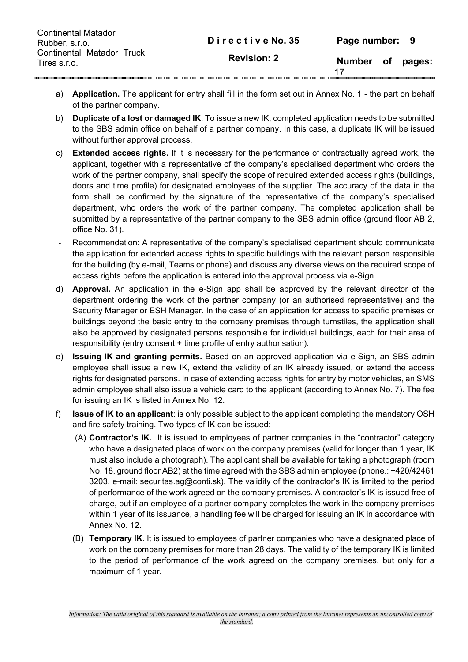| <b>Continental Matador</b><br>Rubber, s.r.o. | Directive No. 35   | Page number: 9 |        |
|----------------------------------------------|--------------------|----------------|--------|
| Continental Matador Truck<br>Tires s.r.o.    | <b>Revision: 2</b> | Number of      | pages: |

- a) **Application.** The applicant for entry shall fill in the form set out in Annex No. 1 the part on behalf of the partner company.
- b) **Duplicate of a lost or damaged IK**. To issue a new IK, completed application needs to be submitted to the SBS admin office on behalf of a partner company. In this case, a duplicate IK will be issued without further approval process.
- c) **Extended access rights.** If it is necessary for the performance of contractually agreed work, the applicant, together with a representative of the company's specialised department who orders the work of the partner company, shall specify the scope of required extended access rights (buildings, doors and time profile) for designated employees of the supplier. The accuracy of the data in the form shall be confirmed by the signature of the representative of the company's specialised department, who orders the work of the partner company. The completed application shall be submitted by a representative of the partner company to the SBS admin office (ground floor AB 2, office No. 31).
- Recommendation: A representative of the company's specialised department should communicate the application for extended access rights to specific buildings with the relevant person responsible for the building (by e-mail, Teams or phone) and discuss any diverse views on the required scope of access rights before the application is entered into the approval process via e-Sign.
- d) **Approval.** An application in the e-Sign app shall be approved by the relevant director of the department ordering the work of the partner company (or an authorised representative) and the Security Manager or ESH Manager. In the case of an application for access to specific premises or buildings beyond the basic entry to the company premises through turnstiles, the application shall also be approved by designated persons responsible for individual buildings, each for their area of responsibility (entry consent + time profile of entry authorisation).
- e) **Issuing IK and granting permits.** Based on an approved application via e-Sign, an SBS admin employee shall issue a new IK, extend the validity of an IK already issued, or extend the access rights for designated persons. In case of extending access rights for entry by motor vehicles, an SMS admin employee shall also issue a vehicle card to the applicant (according to Annex No. 7). The fee for issuing an IK is listed in Annex No. 12.
- f) **Issue of IK to an applicant**: is only possible subject to the applicant completing the mandatory OSH and fire safety training. Two types of IK can be issued:
	- (A) **Contractor's IK.** It is issued to employees of partner companies in the "contractor" category who have a designated place of work on the company premises (valid for longer than 1 year, IK must also include a photograph). The applicant shall be available for taking a photograph (room No. 18, ground floor AB2) at the time agreed with the SBS admin employee (phone.: +420/42461 3203, e-mail: securitas.ag@conti.sk). The validity of the contractor's IK is limited to the period of performance of the work agreed on the company premises. A contractor's IK is issued free of charge, but if an employee of a partner company completes the work in the company premises within 1 year of its issuance, a handling fee will be charged for issuing an IK in accordance with Annex No. 12.
	- (B) **Temporary IK**. It is issued to employees of partner companies who have a designated place of work on the company premises for more than 28 days. The validity of the temporary IK is limited to the period of performance of the work agreed on the company premises, but only for a maximum of 1 year.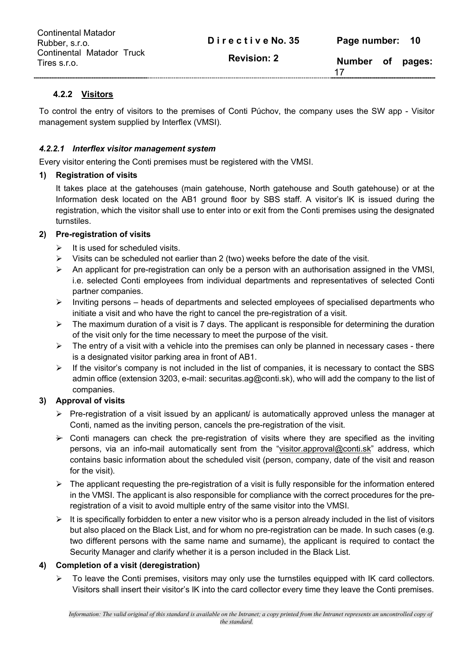| <b>Continental Matador</b><br>Rubber, s.r.o. | Directive No. 35   | Page number: 10 |        |
|----------------------------------------------|--------------------|-----------------|--------|
| Continental Matador Truck<br>Tires s.r.o.    | <b>Revision: 2</b> | Number of       | pages: |

#### **4.2.2 Visitors**

To control the entry of visitors to the premises of Conti Púchov, the company uses the SW app - Visitor management system supplied by Interflex (VMSI).

#### *4.2.2.1 Interflex visitor management system*

Every visitor entering the Conti premises must be registered with the VMSI.

#### **1) Registration of visits**

It takes place at the gatehouses (main gatehouse, North gatehouse and South gatehouse) or at the Information desk located on the AB1 ground floor by SBS staff. A visitor's IK is issued during the registration, which the visitor shall use to enter into or exit from the Conti premises using the designated turnstiles.

#### **2) Pre-registration of visits**

- $\triangleright$  It is used for scheduled visits.
- $\triangleright$  Visits can be scheduled not earlier than 2 (two) weeks before the date of the visit.
- $\triangleright$  An applicant for pre-registration can only be a person with an authorisation assigned in the VMSI, i.e. selected Conti employees from individual departments and representatives of selected Conti partner companies.
- $\triangleright$  Inviting persons heads of departments and selected employees of specialised departments who initiate a visit and who have the right to cancel the pre-registration of a visit.
- $\triangleright$  The maximum duration of a visit is 7 days. The applicant is responsible for determining the duration of the visit only for the time necessary to meet the purpose of the visit.
- $\triangleright$  The entry of a visit with a vehicle into the premises can only be planned in necessary cases there is a designated visitor parking area in front of AB1.
- $\triangleright$  If the visitor's company is not included in the list of companies, it is necessary to contact the SBS admin office (extension 3203, e-mail: securitas.ag@conti.sk), who will add the company to the list of companies.

#### **3) Approval of visits**

- $\triangleright$  Pre-registration of a visit issued by an applicant/ is automatically approved unless the manager at Conti, named as the inviting person, cancels the pre-registration of the visit.
- $\rightarrow$  Conti managers can check the pre-registration of visits where they are specified as the inviting persons, via an info-mail automatically sent from the "visitor.approval@conti.sk" address, which contains basic information about the scheduled visit (person, company, date of the visit and reason for the visit).
- $\triangleright$  The applicant requesting the pre-registration of a visit is fully responsible for the information entered in the VMSI. The applicant is also responsible for compliance with the correct procedures for the preregistration of a visit to avoid multiple entry of the same visitor into the VMSI.
- $\triangleright$  It is specifically forbidden to enter a new visitor who is a person already included in the list of visitors but also placed on the Black List, and for whom no pre-registration can be made. In such cases (e.g. two different persons with the same name and surname), the applicant is required to contact the Security Manager and clarify whether it is a person included in the Black List.

#### **4) Completion of a visit (deregistration)**

 $\triangleright$  To leave the Conti premises, visitors may only use the turnstiles equipped with IK card collectors. Visitors shall insert their visitor's IK into the card collector every time they leave the Conti premises.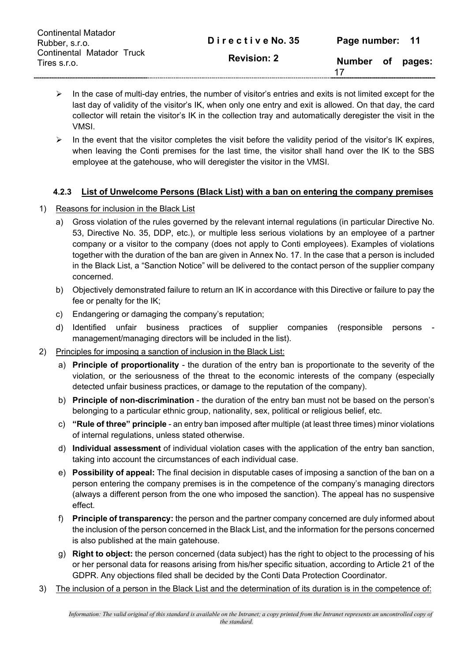| <b>Continental Matador</b><br>Rubber, s.r.o. | Directive No. 35   | Page number: 11 |        |
|----------------------------------------------|--------------------|-----------------|--------|
| Continental Matador Truck<br>Tires s.r.o.    | <b>Revision: 2</b> | Number of<br>17 | pages: |

- $\triangleright$  In the case of multi-day entries, the number of visitor's entries and exits is not limited except for the last day of validity of the visitor's IK, when only one entry and exit is allowed. On that day, the card collector will retain the visitor's IK in the collection tray and automatically deregister the visit in the VMSI.
- $\triangleright$  In the event that the visitor completes the visit before the validity period of the visitor's IK expires, when leaving the Conti premises for the last time, the visitor shall hand over the IK to the SBS employee at the gatehouse, who will deregister the visitor in the VMSI.

#### **4.2.3 List of Unwelcome Persons (Black List) with a ban on entering the company premises**

- 1) Reasons for inclusion in the Black List
	- a) Gross violation of the rules governed by the relevant internal regulations (in particular Directive No. 53, Directive No. 35, DDP, etc.), or multiple less serious violations by an employee of a partner company or a visitor to the company (does not apply to Conti employees). Examples of violations together with the duration of the ban are given in Annex No. 17. In the case that a person is included in the Black List, a "Sanction Notice" will be delivered to the contact person of the supplier company concerned.
	- b) Objectively demonstrated failure to return an IK in accordance with this Directive or failure to pay the fee or penalty for the IK;
	- c) Endangering or damaging the company's reputation;
	- d) Identified unfair business practices of supplier companies (responsible persons management/managing directors will be included in the list).
- 2) Principles for imposing a sanction of inclusion in the Black List:
	- a) **Principle of proportionality** the duration of the entry ban is proportionate to the severity of the violation, or the seriousness of the threat to the economic interests of the company (especially detected unfair business practices, or damage to the reputation of the company).
	- b) **Principle of non-discrimination** the duration of the entry ban must not be based on the person's belonging to a particular ethnic group, nationality, sex, political or religious belief, etc.
	- c) **"Rule of three" principle** an entry ban imposed after multiple (at least three times) minor violations of internal regulations, unless stated otherwise.
	- d) **Individual assessment** of individual violation cases with the application of the entry ban sanction, taking into account the circumstances of each individual case.
	- e) **Possibility of appeal:** The final decision in disputable cases of imposing a sanction of the ban on a person entering the company premises is in the competence of the company's managing directors (always a different person from the one who imposed the sanction). The appeal has no suspensive effect.
	- f) **Principle of transparency:** the person and the partner company concerned are duly informed about the inclusion of the person concerned in the Black List, and the information for the persons concerned is also published at the main gatehouse.
	- g) **Right to object:** the person concerned (data subject) has the right to object to the processing of his or her personal data for reasons arising from his/her specific situation, according to Article 21 of the GDPR. Any objections filed shall be decided by the Conti Data Protection Coordinator.
- 3) The inclusion of a person in the Black List and the determination of its duration is in the competence of: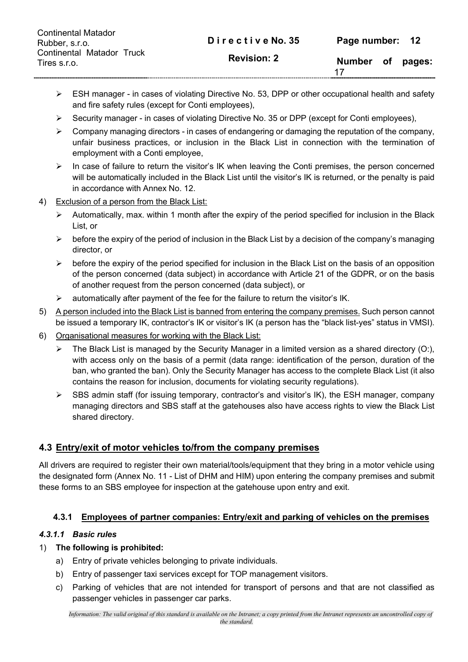| <b>Continental Matador</b><br>Rubber, s.r.o. | Directive No. 35   | Page number: 12 |        |
|----------------------------------------------|--------------------|-----------------|--------|
| Continental Matador Truck<br>Tires s.r.o.    | <b>Revision: 2</b> | Number of       | pages: |

- $\triangleright$  ESH manager in cases of violating Directive No. 53, DPP or other occupational health and safety and fire safety rules (except for Conti employees),
- $\triangleright$  Security manager in cases of violating Directive No. 35 or DPP (except for Conti employees).
- $\triangleright$  Company managing directors in cases of endangering or damaging the reputation of the company, unfair business practices, or inclusion in the Black List in connection with the termination of employment with a Conti employee,
- $\triangleright$  In case of failure to return the visitor's IK when leaving the Conti premises, the person concerned will be automatically included in the Black List until the visitor's IK is returned, or the penalty is paid in accordance with Annex No. 12.
- 4) Exclusion of a person from the Black List:
	- $\triangleright$  Automatically, max. within 1 month after the expiry of the period specified for inclusion in the Black List, or
	- $\triangleright$  before the expiry of the period of inclusion in the Black List by a decision of the company's managing director, or
	- $\triangleright$  before the expiry of the period specified for inclusion in the Black List on the basis of an opposition of the person concerned (data subject) in accordance with Article 21 of the GDPR, or on the basis of another request from the person concerned (data subject), or
	- $\triangleright$  automatically after payment of the fee for the failure to return the visitor's IK.
- 5) A person included into the Black List is banned from entering the company premises. Such person cannot be issued a temporary IK, contractor's IK or visitor's IK (a person has the "black list-yes" status in VMSI).
- 6) Organisational measures for working with the Black List:
	- $\triangleright$  The Black List is managed by the Security Manager in a limited version as a shared directory (O:), with access only on the basis of a permit (data range: identification of the person, duration of the ban, who granted the ban). Only the Security Manager has access to the complete Black List (it also contains the reason for inclusion, documents for violating security regulations).
	- $\triangleright$  SBS admin staff (for issuing temporary, contractor's and visitor's IK), the ESH manager, company managing directors and SBS staff at the gatehouses also have access rights to view the Black List shared directory.

#### **4.3 Entry/exit of motor vehicles to/from the company premises**

All drivers are required to register their own material/tools/equipment that they bring in a motor vehicle using the designated form (Annex No. 11 - List of DHM and HIM) upon entering the company premises and submit these forms to an SBS employee for inspection at the gatehouse upon entry and exit.

#### **4.3.1 Employees of partner companies: Entry/exit and parking of vehicles on the premises**

#### *4.3.1.1 Basic rules*

#### 1) **The following is prohibited:**

- a) Entry of private vehicles belonging to private individuals.
- b) Entry of passenger taxi services except for TOP management visitors.
- c) Parking of vehicles that are not intended for transport of persons and that are not classified as passenger vehicles in passenger car parks.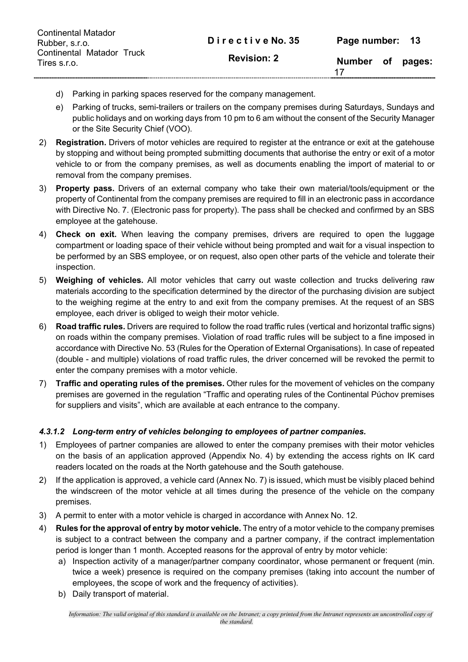| <b>Continental Matador</b><br>Rubber, s.r.o. | Directive No. 35   | Page number: 13 |        |
|----------------------------------------------|--------------------|-----------------|--------|
| Continental Matador Truck<br>Tires s.r.o.    | <b>Revision: 2</b> | Number of       | pages: |

- d) Parking in parking spaces reserved for the company management.
- e) Parking of trucks, semi-trailers or trailers on the company premises during Saturdays, Sundays and public holidays and on working days from 10 pm to 6 am without the consent of the Security Manager or the Site Security Chief (VOO).
- 2) **Registration.** Drivers of motor vehicles are required to register at the entrance or exit at the gatehouse by stopping and without being prompted submitting documents that authorise the entry or exit of a motor vehicle to or from the company premises, as well as documents enabling the import of material to or removal from the company premises.
- 3) **Property pass.** Drivers of an external company who take their own material/tools/equipment or the property of Continental from the company premises are required to fill in an electronic pass in accordance with Directive No. 7. (Electronic pass for property). The pass shall be checked and confirmed by an SBS employee at the gatehouse.
- 4) **Check on exit.** When leaving the company premises, drivers are required to open the luggage compartment or loading space of their vehicle without being prompted and wait for a visual inspection to be performed by an SBS employee, or on request, also open other parts of the vehicle and tolerate their inspection.
- 5) **Weighing of vehicles.** All motor vehicles that carry out waste collection and trucks delivering raw materials according to the specification determined by the director of the purchasing division are subject to the weighing regime at the entry to and exit from the company premises. At the request of an SBS employee, each driver is obliged to weigh their motor vehicle.
- 6) **Road traffic rules.** Drivers are required to follow the road traffic rules (vertical and horizontal traffic signs) on roads within the company premises. Violation of road traffic rules will be subject to a fine imposed in accordance with Directive No. 53 (Rules for the Operation of External Organisations). In case of repeated (double - and multiple) violations of road traffic rules, the driver concerned will be revoked the permit to enter the company premises with a motor vehicle.
- 7) **Traffic and operating rules of the premises.** Other rules for the movement of vehicles on the company premises are governed in the regulation "Traffic and operating rules of the Continental Púchov premises for suppliers and visits", which are available at each entrance to the company.

#### *4.3.1.2 Long-term entry of vehicles belonging to employees of partner companies.*

- 1) Employees of partner companies are allowed to enter the company premises with their motor vehicles on the basis of an application approved (Appendix No. 4) by extending the access rights on IK card readers located on the roads at the North gatehouse and the South gatehouse.
- 2) If the application is approved, a vehicle card (Annex No. 7) is issued, which must be visibly placed behind the windscreen of the motor vehicle at all times during the presence of the vehicle on the company premises.
- 3) A permit to enter with a motor vehicle is charged in accordance with Annex No. 12.
- 4) **Rules for the approval of entry by motor vehicle.** The entry of a motor vehicle to the company premises is subject to a contract between the company and a partner company, if the contract implementation period is longer than 1 month. Accepted reasons for the approval of entry by motor vehicle:
	- a) Inspection activity of a manager/partner company coordinator, whose permanent or frequent (min. twice a week) presence is required on the company premises (taking into account the number of employees, the scope of work and the frequency of activities).
	- b) Daily transport of material.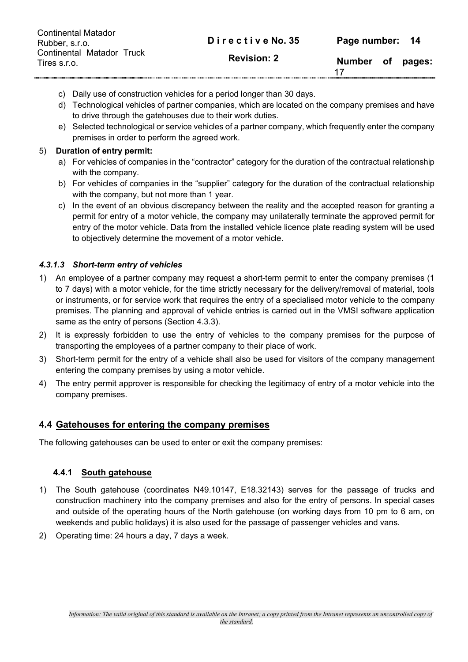| <b>Continental Matador</b><br>Rubber, s.r.o. | Directive No. 35   | Page number: 14  |        |
|----------------------------------------------|--------------------|------------------|--------|
| Continental Matador Truck<br>Tires s.r.o.    | <b>Revision: 2</b> | Number of<br>-17 | pages: |

- c) Daily use of construction vehicles for a period longer than 30 days.
- d) Technological vehicles of partner companies, which are located on the company premises and have to drive through the gatehouses due to their work duties.
- e) Selected technological or service vehicles of a partner company, which frequently enter the company premises in order to perform the agreed work.

#### 5) **Duration of entry permit:**

- a) For vehicles of companies in the "contractor" category for the duration of the contractual relationship with the company.
- b) For vehicles of companies in the "supplier" category for the duration of the contractual relationship with the company, but not more than 1 year.
- c) In the event of an obvious discrepancy between the reality and the accepted reason for granting a permit for entry of a motor vehicle, the company may unilaterally terminate the approved permit for entry of the motor vehicle. Data from the installed vehicle licence plate reading system will be used to objectively determine the movement of a motor vehicle.

#### *4.3.1.3 Short-term entry of vehicles*

- 1) An employee of a partner company may request a short-term permit to enter the company premises (1 to 7 days) with a motor vehicle, for the time strictly necessary for the delivery/removal of material, tools or instruments, or for service work that requires the entry of a specialised motor vehicle to the company premises. The planning and approval of vehicle entries is carried out in the VMSI software application same as the entry of persons (Section 4.3.3).
- 2) It is expressly forbidden to use the entry of vehicles to the company premises for the purpose of transporting the employees of a partner company to their place of work.
- 3) Short-term permit for the entry of a vehicle shall also be used for visitors of the company management entering the company premises by using a motor vehicle.
- 4) The entry permit approver is responsible for checking the legitimacy of entry of a motor vehicle into the company premises.

#### **4.4 Gatehouses for entering the company premises**

The following gatehouses can be used to enter or exit the company premises:

#### **4.4.1 South gatehouse**

- 1) The South gatehouse (coordinates N49.10147, E18.32143) serves for the passage of trucks and construction machinery into the company premises and also for the entry of persons. In special cases and outside of the operating hours of the North gatehouse (on working days from 10 pm to 6 am, on weekends and public holidays) it is also used for the passage of passenger vehicles and vans.
- 2) Operating time: 24 hours a day, 7 days a week.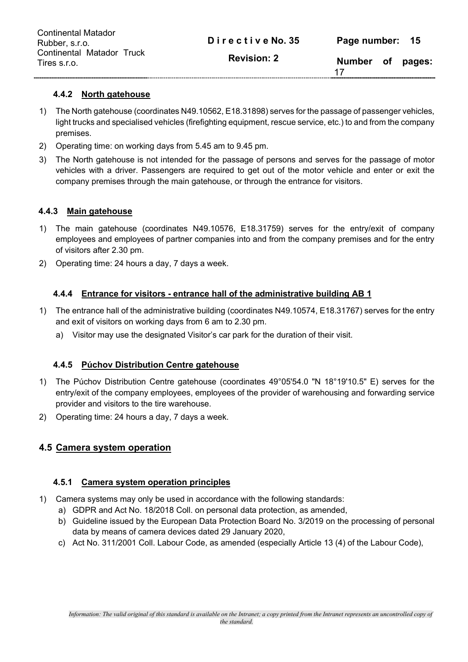| <b>Continental Matador</b><br>Rubber, s.r.o. | Directive No. 35   | Page number: 15 |        |
|----------------------------------------------|--------------------|-----------------|--------|
| Continental Matador Truck<br>Tires s.r.o.    | <b>Revision: 2</b> | Number of       | pages: |

#### **4.4.2 North gatehouse**

- 1) The North gatehouse (coordinates N49.10562, E18.31898) serves for the passage of passenger vehicles, light trucks and specialised vehicles (firefighting equipment, rescue service, etc.) to and from the company premises.
- 2) Operating time: on working days from 5.45 am to 9.45 pm.
- 3) The North gatehouse is not intended for the passage of persons and serves for the passage of motor vehicles with a driver. Passengers are required to get out of the motor vehicle and enter or exit the company premises through the main gatehouse, or through the entrance for visitors.

#### **4.4.3 Main gatehouse**

- 1) The main gatehouse (coordinates N49.10576, E18.31759) serves for the entry/exit of company employees and employees of partner companies into and from the company premises and for the entry of visitors after 2.30 pm.
- 2) Operating time: 24 hours a day, 7 days a week.

#### **4.4.4 Entrance for visitors - entrance hall of the administrative building AB 1**

- 1) The entrance hall of the administrative building (coordinates N49.10574, E18.31767) serves for the entry and exit of visitors on working days from 6 am to 2.30 pm.
	- a) Visitor may use the designated Visitor's car park for the duration of their visit.

#### **4.4.5 Púchov Distribution Centre gatehouse**

- 1) The Púchov Distribution Centre gatehouse (coordinates 49°05'54.0 "N 18°19'10.5" E) serves for the entry/exit of the company employees, employees of the provider of warehousing and forwarding service provider and visitors to the tire warehouse.
- 2) Operating time: 24 hours a day, 7 days a week.

#### **4.5 Camera system operation**

#### **4.5.1 Camera system operation principles**

- 1) Camera systems may only be used in accordance with the following standards:
	- a) GDPR and Act No. 18/2018 Coll. on personal data protection, as amended,
	- b) Guideline issued by the European Data Protection Board No. 3/2019 on the processing of personal data by means of camera devices dated 29 January 2020,
	- c) Act No. 311/2001 Coll. Labour Code, as amended (especially Article 13 (4) of the Labour Code),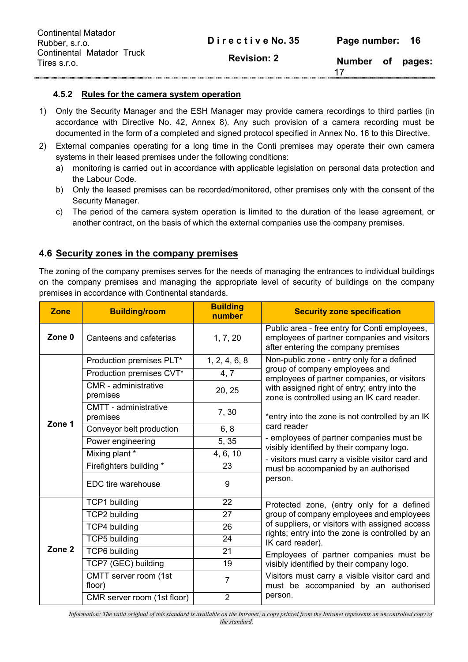| <b>Continental Matador</b><br>Rubber, s.r.o. | Directive No. 35   | Page number: 16 |        |
|----------------------------------------------|--------------------|-----------------|--------|
| Continental Matador Truck<br>Tires s.r.o.    | <b>Revision: 2</b> | Number of<br>17 | pages: |

#### **4.5.2 Rules for the camera system operation**

- 1) Only the Security Manager and the ESH Manager may provide camera recordings to third parties (in accordance with Directive No. 42, Annex 8). Any such provision of a camera recording must be documented in the form of a completed and signed protocol specified in Annex No. 16 to this Directive.
- 2) External companies operating for a long time in the Conti premises may operate their own camera systems in their leased premises under the following conditions:
	- a) monitoring is carried out in accordance with applicable legislation on personal data protection and the Labour Code.
	- b) Only the leased premises can be recorded/monitored, other premises only with the consent of the Security Manager.
	- c) The period of the camera system operation is limited to the duration of the lease agreement, or another contract, on the basis of which the external companies use the company premises.

#### **4.6 Security zones in the company premises**

The zoning of the company premises serves for the needs of managing the entrances to individual buildings on the company premises and managing the appropriate level of security of buildings on the company premises in accordance with Continental standards.

| <b>Zone</b>       | <b>Building/room</b>                     | <b>Building</b><br>number | <b>Security zone specification</b>                                                                                                  |  |  |
|-------------------|------------------------------------------|---------------------------|-------------------------------------------------------------------------------------------------------------------------------------|--|--|
| Zone 0            | Canteens and cafeterias                  | 1, 7, 20                  | Public area - free entry for Conti employees,<br>employees of partner companies and visitors<br>after entering the company premises |  |  |
|                   | Production premises PLT*                 | 1, 2, 4, 6, 8             | Non-public zone - entry only for a defined                                                                                          |  |  |
|                   | Production premises CVT*                 | 4, 7                      | group of company employees and<br>employees of partner companies, or visitors                                                       |  |  |
|                   | CMR - administrative<br>premises         | 20, 25                    | with assigned right of entry; entry into the<br>zone is controlled using an IK card reader.                                         |  |  |
| Zone 1            | <b>CMTT</b> - administrative<br>premises | 7,30                      | *entry into the zone is not controlled by an IK                                                                                     |  |  |
|                   | Conveyor belt production                 | 6, 8                      | card reader                                                                                                                         |  |  |
|                   | Power engineering                        | 5, 35                     | - employees of partner companies must be<br>visibly identified by their company logo.                                               |  |  |
|                   | Mixing plant *                           | 4, 6, 10                  | - visitors must carry a visible visitor card and                                                                                    |  |  |
|                   | Firefighters building *                  | 23                        | must be accompanied by an authorised                                                                                                |  |  |
|                   | EDC tire warehouse                       | 9                         | person.                                                                                                                             |  |  |
|                   | <b>TCP1</b> building                     | 22                        | Protected zone, (entry only for a defined                                                                                           |  |  |
|                   | <b>TCP2 building</b>                     | 27                        | group of company employees and employees                                                                                            |  |  |
|                   | <b>TCP4 building</b>                     | 26                        | of suppliers, or visitors with assigned access<br>rights; entry into the zone is controlled by an                                   |  |  |
|                   | <b>TCP5</b> building                     | 24                        | IK card reader).                                                                                                                    |  |  |
| Zone <sub>2</sub> | <b>TCP6</b> building                     | 21                        | Employees of partner companies must be                                                                                              |  |  |
|                   | TCP7 (GEC) building                      | 19                        | visibly identified by their company logo.                                                                                           |  |  |
|                   | CMTT server room (1st<br>floor)          | $\overline{7}$            | Visitors must carry a visible visitor card and<br>must be accompanied by an authorised                                              |  |  |
|                   | CMR server room (1st floor)              | $\overline{2}$            | person.                                                                                                                             |  |  |

*Information: The valid original of this standard is available on the Intranet; a copy printed from the Intranet represents an uncontrolled copy of the standard.*